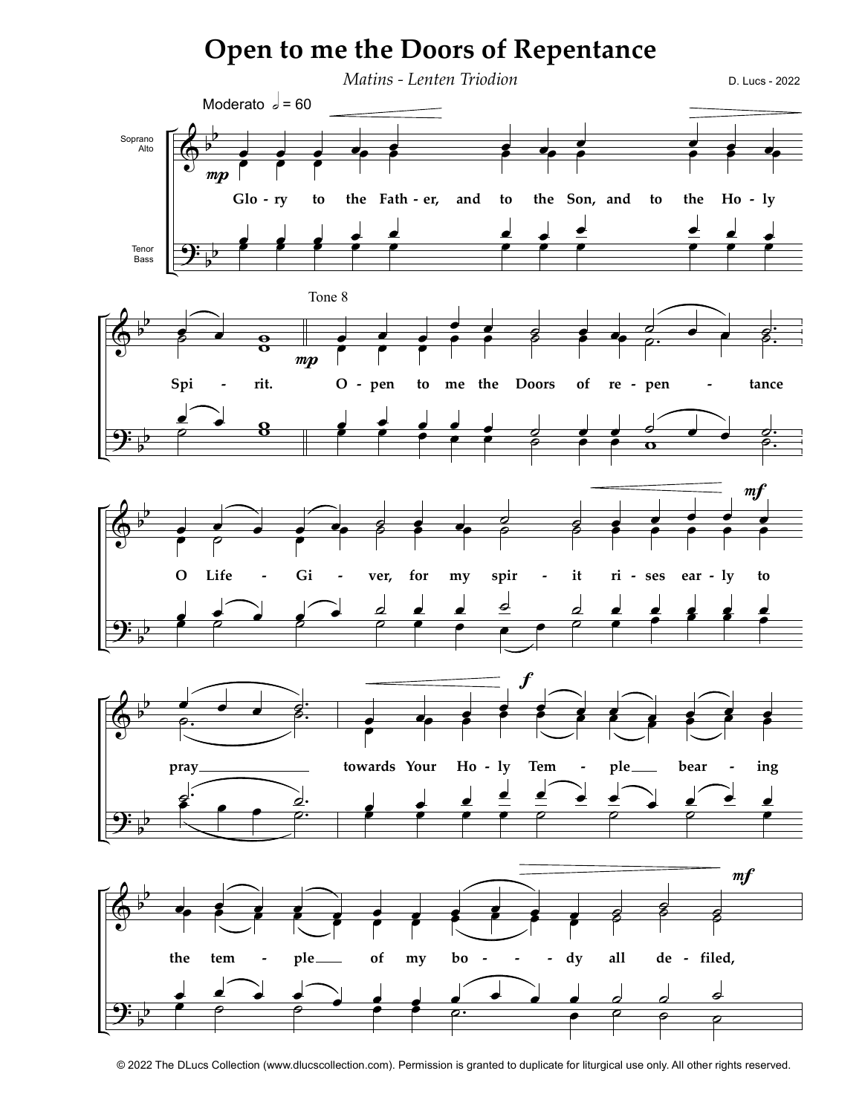

<sup>© 2022</sup> The DLucs Collection (www.dlucscollection.com). Permission is granted to duplicate for liturgical use only. All other rights reserved.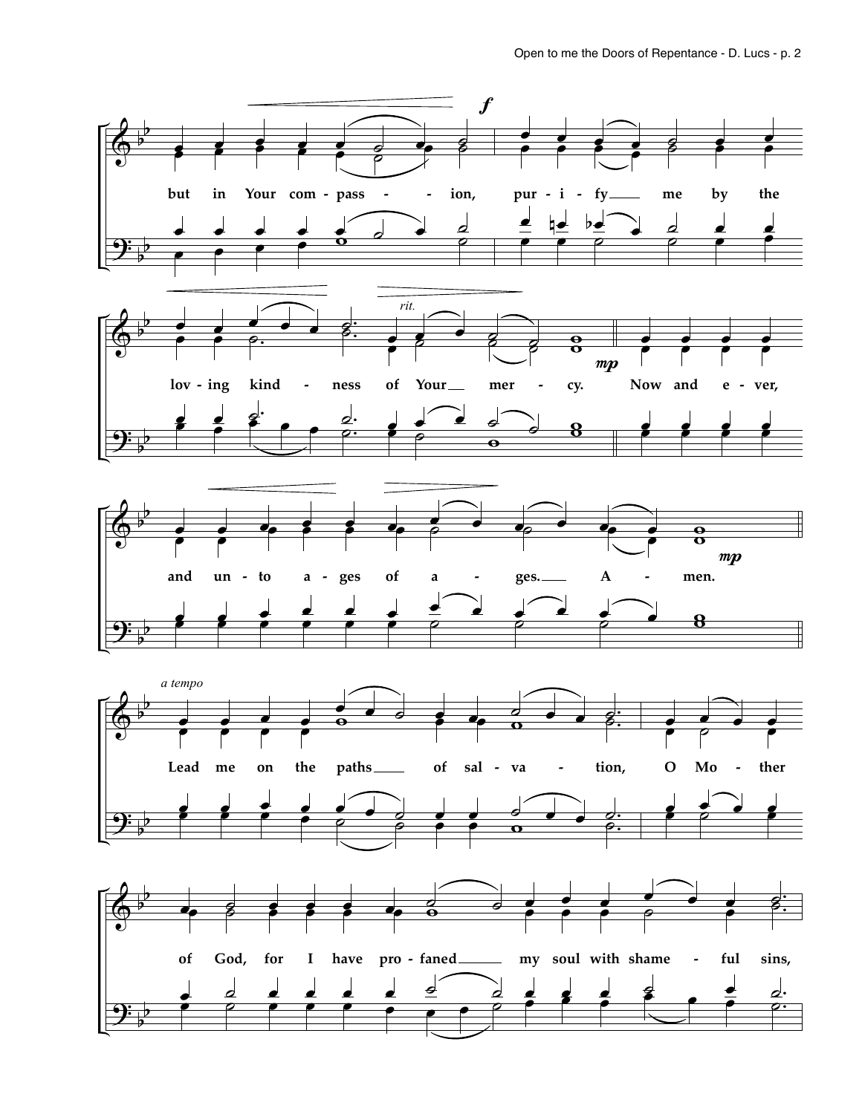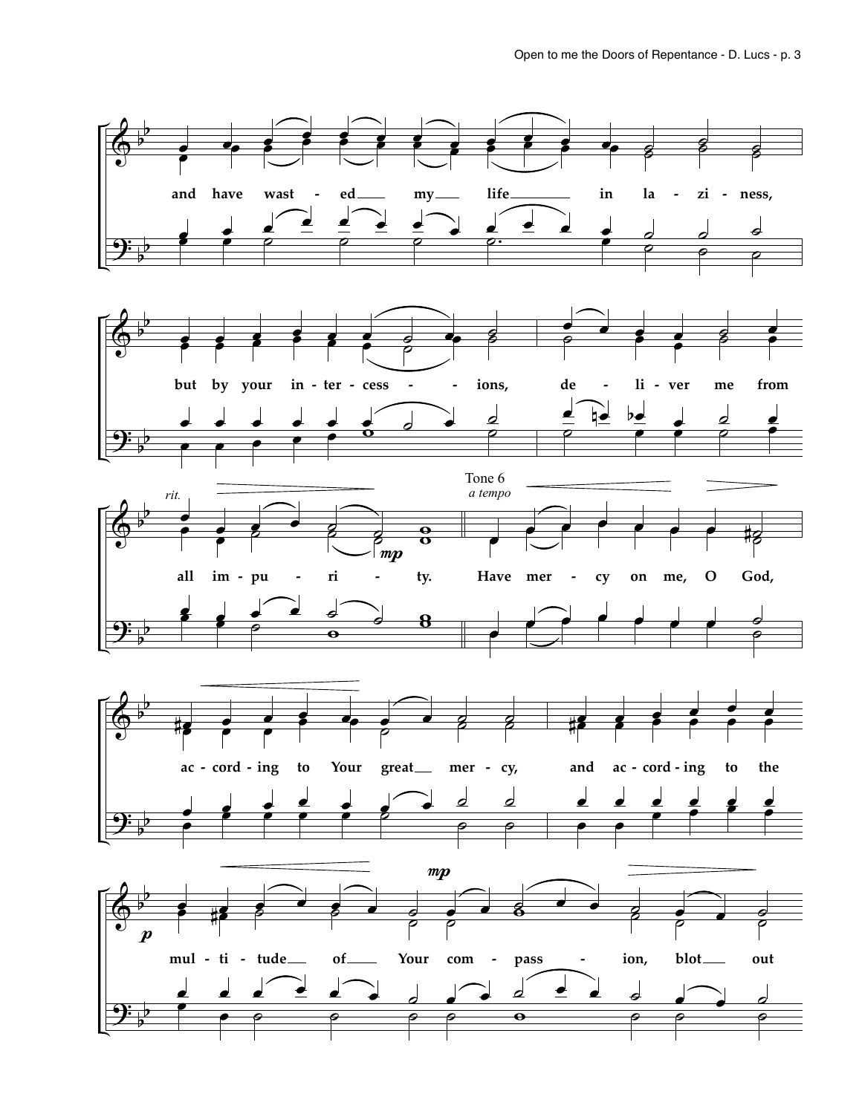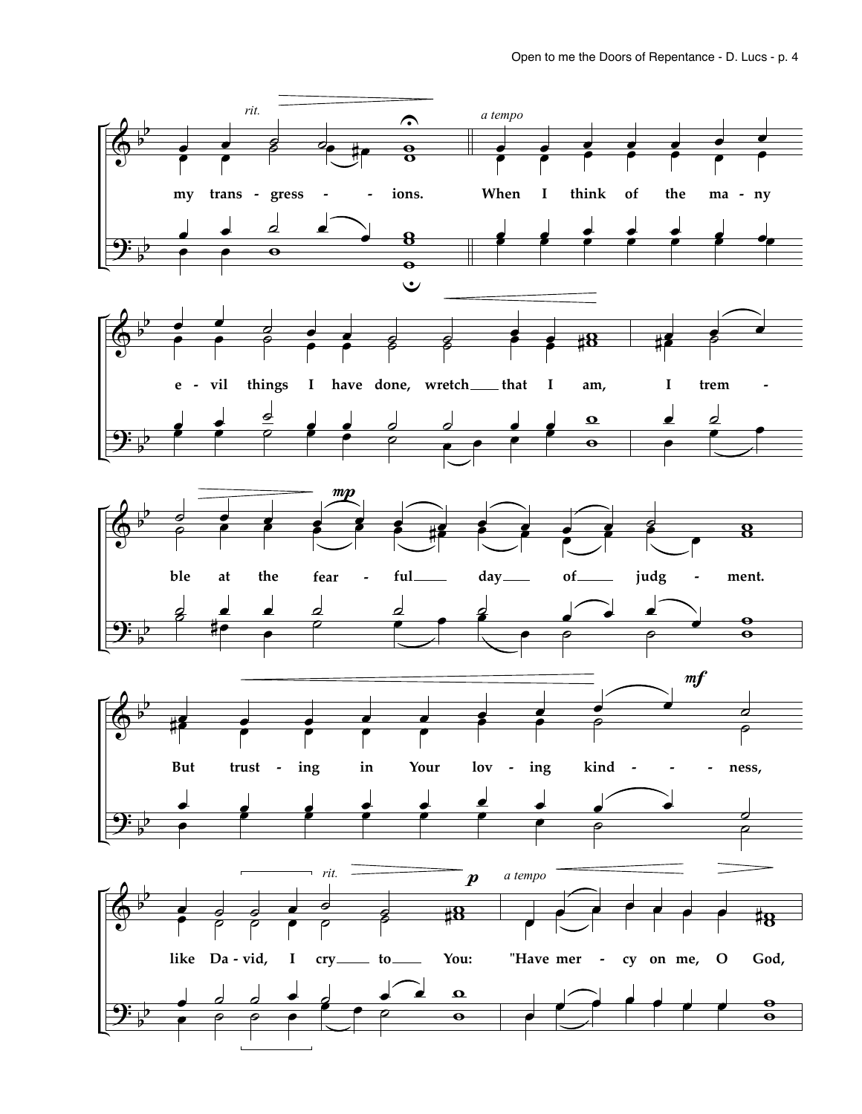